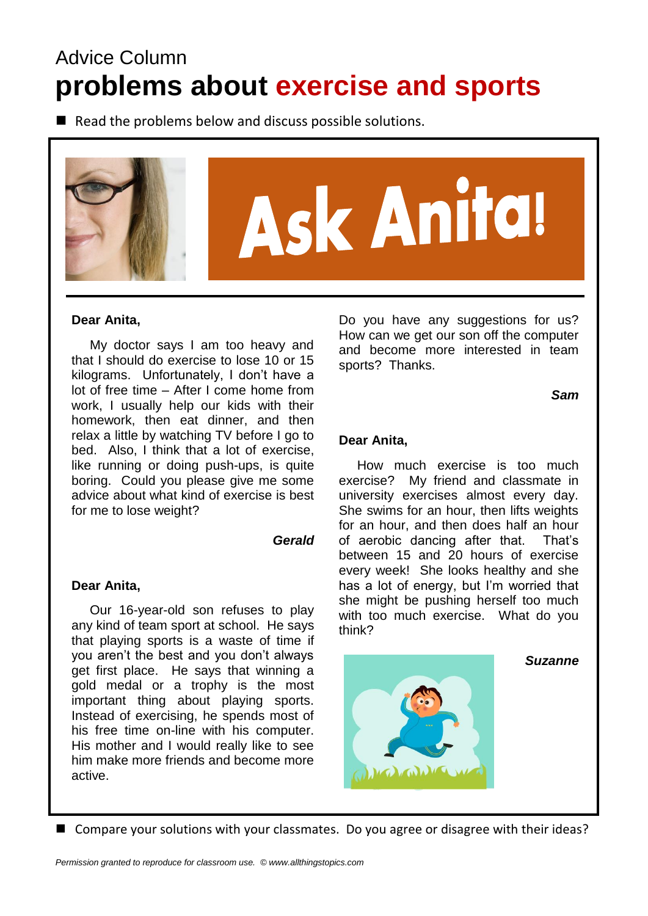# Advice Column **problems about exercise and sports**

 $\blacksquare$  Read the problems below and discuss possible solutions.



#### **Dear Anita,**

 My doctor says I am too heavy and that I should do exercise to lose 10 or 15 kilograms. Unfortunately, I don't have a lot of free time – After I come home from work, I usually help our kids with their homework, then eat dinner, and then relax a little by watching TV before I go to bed. Also, I think that a lot of exercise, like running or doing push-ups, is quite boring. Could you please give me some advice about what kind of exercise is best for me to lose weight?

#### *Gerald*

#### **Dear Anita,**

 Our 16-year-old son refuses to play any kind of team sport at school. He says that playing sports is a waste of time if you aren't the best and you don't always get first place. He says that winning a gold medal or a trophy is the most important thing about playing sports. Instead of exercising, he spends most of his free time on-line with his computer. His mother and I would really like to see him make more friends and become more active.

Do you have any suggestions for us? How can we get our son off the computer and become more interested in team sports? Thanks.

*Sam*

#### **Dear Anita,**

 How much exercise is too much exercise? My friend and classmate in university exercises almost every day. She swims for an hour, then lifts weights for an hour, and then does half an hour of aerobic dancing after that. That's between 15 and 20 hours of exercise every week! She looks healthy and she has a lot of energy, but I'm worried that she might be pushing herself too much with too much exercise. What do you think?

*Suzanne*



■ Compare your solutions with your classmates. Do you agree or disagree with their ideas?